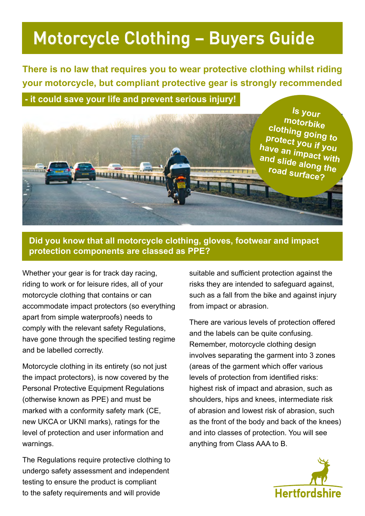## Motorcycle Clothing – Buyers Guide

**There is no law that requires you to wear protective clothing whilst riding your motorcycle, but compliant protective gear is strongly recommended** 

 **- it could save your life and prevent serious injury!**



#### **Did you know that all motorcycle clothing, gloves, footwear and impact protection components are classed as PPE?**

Whether your gear is for track day racing, riding to work or for leisure rides, all of your motorcycle clothing that contains or can accommodate impact protectors (so everything apart from simple waterproofs) needs to comply with the relevant safety Regulations, have gone through the specified testing regime and be labelled correctly.

Motorcycle clothing in its entirety (so not just the impact protectors), is now covered by the Personal Protective Equipment Regulations (otherwise known as PPE) and must be marked with a conformity safety mark (CE, new UKCA or UKNI marks), ratings for the level of protection and user information and warnings.

The Regulations require protective clothing to undergo safety assessment and independent testing to ensure the product is compliant to the safety requirements and will provide

suitable and sufficient protection against the risks they are intended to safeguard against, such as a fall from the bike and against injury from impact or abrasion.

There are various levels of protection offered and the labels can be quite confusing. Remember, motorcycle clothing design involves separating the garment into 3 zones (areas of the garment which offer various levels of protection from identified risks: highest risk of impact and abrasion, such as shoulders, hips and knees, intermediate risk of abrasion and lowest risk of abrasion, such as the front of the body and back of the knees) and into classes of protection. You will see anything from Class AAA to B.

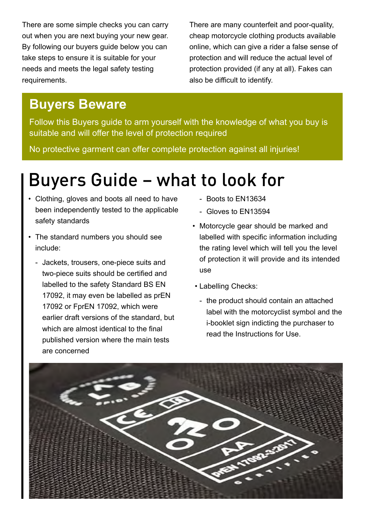There are some simple checks you can carry out when you are next buying your new gear. By following our buyers guide below you can take steps to ensure it is suitable for your needs and meets the legal safety testing requirements.

There are many counterfeit and poor-quality, cheap motorcycle clothing products available online, which can give a rider a false sense of protection and will reduce the actual level of protection provided (if any at all). Fakes can also be difficult to identify.

### **Buyers Beware**

Follow this Buyers guide to arm yourself with the knowledge of what you buy is suitable and will offer the level of protection required

No protective garment can offer complete protection against all injuries!

# Buyers Guide – what to look for

- Clothing, gloves and boots all need to have been independently tested to the applicable safety standards
- The standard numbers you should see include:
	- Jackets, trousers, one-piece suits and two-piece suits should be certified and labelled to the safety Standard BS EN 17092, it may even be labelled as prEN 17092 or FprEN 17092, which were earlier draft versions of the standard, but which are almost identical to the final published version where the main tests are concerned
- Boots to EN13634
- Gloves to EN13594
- Motorcycle gear should be marked and labelled with specific information including the rating level which will tell you the level of protection it will provide and its intended use
- Labelling Checks:
	- the product should contain an attached label with the motorcyclist symbol and the i-booklet sign indicting the purchaser to read the Instructions for Use.